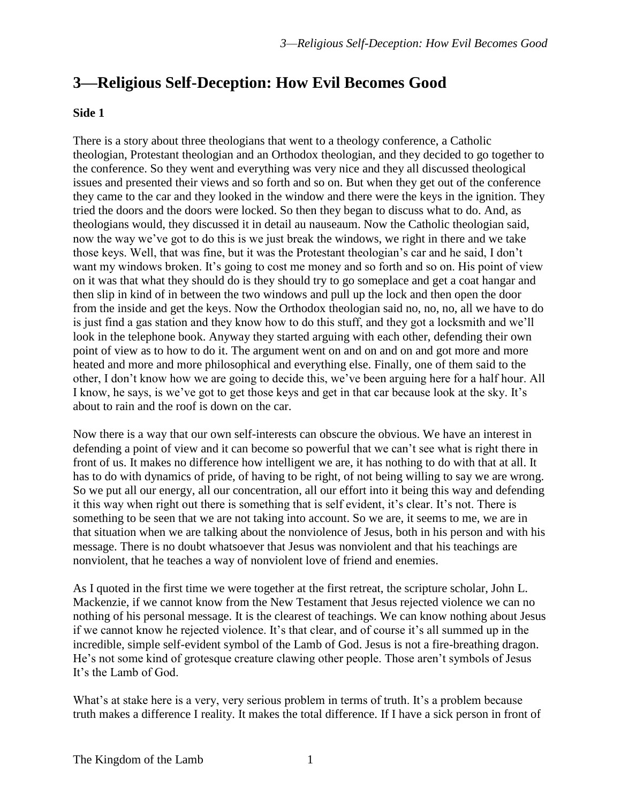## **3—Religious Self-Deception: How Evil Becomes Good**

## **Side 1**

There is a story about three theologians that went to a theology conference, a Catholic theologian, Protestant theologian and an Orthodox theologian, and they decided to go together to the conference. So they went and everything was very nice and they all discussed theological issues and presented their views and so forth and so on. But when they get out of the conference they came to the car and they looked in the window and there were the keys in the ignition. They tried the doors and the doors were locked. So then they began to discuss what to do. And, as theologians would, they discussed it in detail au nauseaum. Now the Catholic theologian said, now the way we've got to do this is we just break the windows, we right in there and we take those keys. Well, that was fine, but it was the Protestant theologian's car and he said, I don't want my windows broken. It's going to cost me money and so forth and so on. His point of view on it was that what they should do is they should try to go someplace and get a coat hangar and then slip in kind of in between the two windows and pull up the lock and then open the door from the inside and get the keys. Now the Orthodox theologian said no, no, no, all we have to do is just find a gas station and they know how to do this stuff, and they got a locksmith and we'll look in the telephone book. Anyway they started arguing with each other, defending their own point of view as to how to do it. The argument went on and on and on and got more and more heated and more and more philosophical and everything else. Finally, one of them said to the other, I don't know how we are going to decide this, we've been arguing here for a half hour. All I know, he says, is we've got to get those keys and get in that car because look at the sky. It's about to rain and the roof is down on the car.

Now there is a way that our own self-interests can obscure the obvious. We have an interest in defending a point of view and it can become so powerful that we can't see what is right there in front of us. It makes no difference how intelligent we are, it has nothing to do with that at all. It has to do with dynamics of pride, of having to be right, of not being willing to say we are wrong. So we put all our energy, all our concentration, all our effort into it being this way and defending it this way when right out there is something that is self evident, it's clear. It's not. There is something to be seen that we are not taking into account. So we are, it seems to me, we are in that situation when we are talking about the nonviolence of Jesus, both in his person and with his message. There is no doubt whatsoever that Jesus was nonviolent and that his teachings are nonviolent, that he teaches a way of nonviolent love of friend and enemies.

As I quoted in the first time we were together at the first retreat, the scripture scholar, John L. Mackenzie, if we cannot know from the New Testament that Jesus rejected violence we can no nothing of his personal message. It is the clearest of teachings. We can know nothing about Jesus if we cannot know he rejected violence. It's that clear, and of course it's all summed up in the incredible, simple self-evident symbol of the Lamb of God. Jesus is not a fire-breathing dragon. He's not some kind of grotesque creature clawing other people. Those aren't symbols of Jesus It's the Lamb of God.

What's at stake here is a very, very serious problem in terms of truth. It's a problem because truth makes a difference I reality. It makes the total difference. If I have a sick person in front of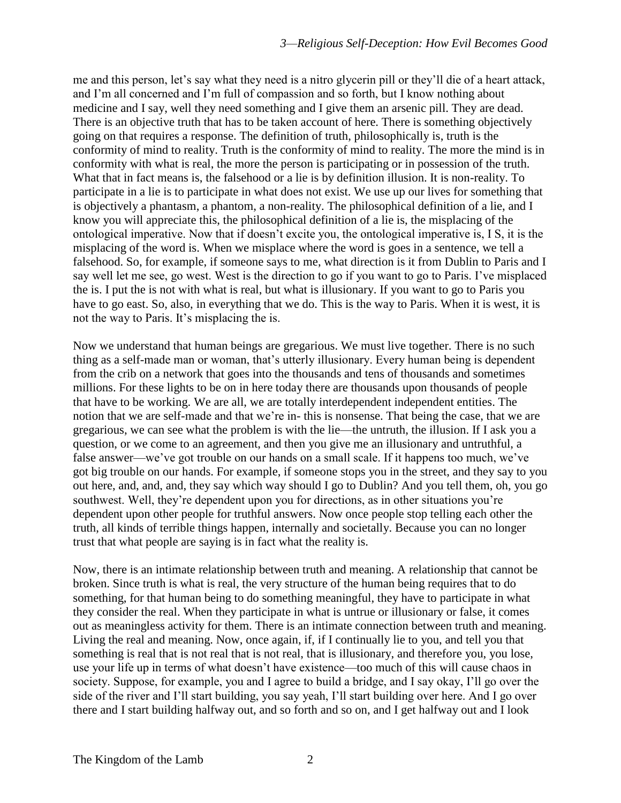me and this person, let's say what they need is a nitro glycerin pill or they'll die of a heart attack, and I'm all concerned and I'm full of compassion and so forth, but I know nothing about medicine and I say, well they need something and I give them an arsenic pill. They are dead. There is an objective truth that has to be taken account of here. There is something objectively going on that requires a response. The definition of truth, philosophically is, truth is the conformity of mind to reality. Truth is the conformity of mind to reality. The more the mind is in conformity with what is real, the more the person is participating or in possession of the truth. What that in fact means is, the falsehood or a lie is by definition illusion. It is non-reality. To participate in a lie is to participate in what does not exist. We use up our lives for something that is objectively a phantasm, a phantom, a non-reality. The philosophical definition of a lie, and I know you will appreciate this, the philosophical definition of a lie is, the misplacing of the ontological imperative. Now that if doesn't excite you, the ontological imperative is, I S, it is the misplacing of the word is. When we misplace where the word is goes in a sentence, we tell a falsehood. So, for example, if someone says to me, what direction is it from Dublin to Paris and I say well let me see, go west. West is the direction to go if you want to go to Paris. I've misplaced the is. I put the is not with what is real, but what is illusionary. If you want to go to Paris you have to go east. So, also, in everything that we do. This is the way to Paris. When it is west, it is not the way to Paris. It's misplacing the is.

Now we understand that human beings are gregarious. We must live together. There is no such thing as a self-made man or woman, that's utterly illusionary. Every human being is dependent from the crib on a network that goes into the thousands and tens of thousands and sometimes millions. For these lights to be on in here today there are thousands upon thousands of people that have to be working. We are all, we are totally interdependent independent entities. The notion that we are self-made and that we're in- this is nonsense. That being the case, that we are gregarious, we can see what the problem is with the lie—the untruth, the illusion. If I ask you a question, or we come to an agreement, and then you give me an illusionary and untruthful, a false answer—we've got trouble on our hands on a small scale. If it happens too much, we've got big trouble on our hands. For example, if someone stops you in the street, and they say to you out here, and, and, and, they say which way should I go to Dublin? And you tell them, oh, you go southwest. Well, they're dependent upon you for directions, as in other situations you're dependent upon other people for truthful answers. Now once people stop telling each other the truth, all kinds of terrible things happen, internally and societally. Because you can no longer trust that what people are saying is in fact what the reality is.

Now, there is an intimate relationship between truth and meaning. A relationship that cannot be broken. Since truth is what is real, the very structure of the human being requires that to do something, for that human being to do something meaningful, they have to participate in what they consider the real. When they participate in what is untrue or illusionary or false, it comes out as meaningless activity for them. There is an intimate connection between truth and meaning. Living the real and meaning. Now, once again, if, if I continually lie to you, and tell you that something is real that is not real that is not real, that is illusionary, and therefore you, you lose, use your life up in terms of what doesn't have existence—too much of this will cause chaos in society. Suppose, for example, you and I agree to build a bridge, and I say okay, I'll go over the side of the river and I'll start building, you say yeah, I'll start building over here. And I go over there and I start building halfway out, and so forth and so on, and I get halfway out and I look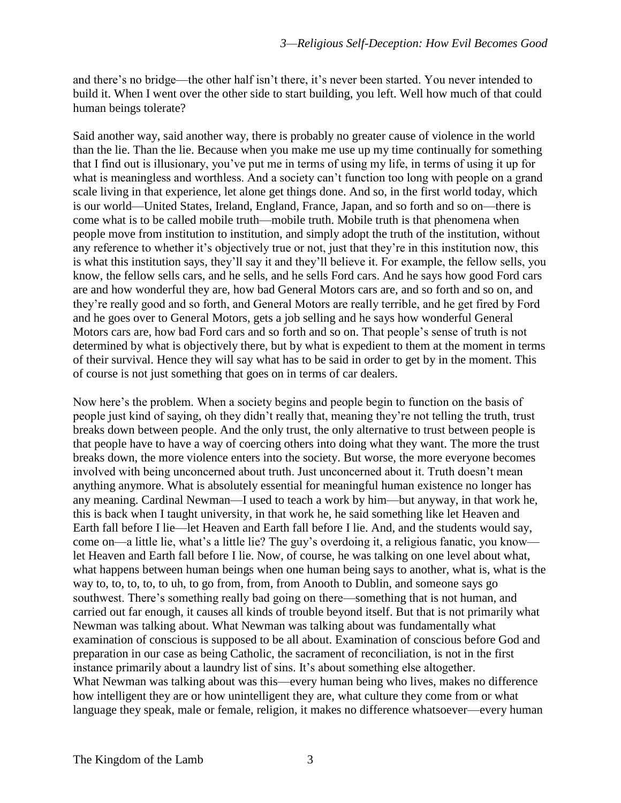and there's no bridge—the other half isn't there, it's never been started. You never intended to build it. When I went over the other side to start building, you left. Well how much of that could human beings tolerate?

Said another way, said another way, there is probably no greater cause of violence in the world than the lie. Than the lie. Because when you make me use up my time continually for something that I find out is illusionary, you've put me in terms of using my life, in terms of using it up for what is meaningless and worthless. And a society can't function too long with people on a grand scale living in that experience, let alone get things done. And so, in the first world today, which is our world—United States, Ireland, England, France, Japan, and so forth and so on—there is come what is to be called mobile truth—mobile truth. Mobile truth is that phenomena when people move from institution to institution, and simply adopt the truth of the institution, without any reference to whether it's objectively true or not, just that they're in this institution now, this is what this institution says, they'll say it and they'll believe it. For example, the fellow sells, you know, the fellow sells cars, and he sells, and he sells Ford cars. And he says how good Ford cars are and how wonderful they are, how bad General Motors cars are, and so forth and so on, and they're really good and so forth, and General Motors are really terrible, and he get fired by Ford and he goes over to General Motors, gets a job selling and he says how wonderful General Motors cars are, how bad Ford cars and so forth and so on. That people's sense of truth is not determined by what is objectively there, but by what is expedient to them at the moment in terms of their survival. Hence they will say what has to be said in order to get by in the moment. This of course is not just something that goes on in terms of car dealers.

Now here's the problem. When a society begins and people begin to function on the basis of people just kind of saying, oh they didn't really that, meaning they're not telling the truth, trust breaks down between people. And the only trust, the only alternative to trust between people is that people have to have a way of coercing others into doing what they want. The more the trust breaks down, the more violence enters into the society. But worse, the more everyone becomes involved with being unconcerned about truth. Just unconcerned about it. Truth doesn't mean anything anymore. What is absolutely essential for meaningful human existence no longer has any meaning. Cardinal Newman—I used to teach a work by him—but anyway, in that work he, this is back when I taught university, in that work he, he said something like let Heaven and Earth fall before I lie—let Heaven and Earth fall before I lie. And, and the students would say, come on—a little lie, what's a little lie? The guy's overdoing it, a religious fanatic, you know let Heaven and Earth fall before I lie. Now, of course, he was talking on one level about what, what happens between human beings when one human being says to another, what is, what is the way to, to, to, to, to uh, to go from, from, from Anooth to Dublin, and someone says go southwest. There's something really bad going on there—something that is not human, and carried out far enough, it causes all kinds of trouble beyond itself. But that is not primarily what Newman was talking about. What Newman was talking about was fundamentally what examination of conscious is supposed to be all about. Examination of conscious before God and preparation in our case as being Catholic, the sacrament of reconciliation, is not in the first instance primarily about a laundry list of sins. It's about something else altogether. What Newman was talking about was this—every human being who lives, makes no difference how intelligent they are or how unintelligent they are, what culture they come from or what language they speak, male or female, religion, it makes no difference whatsoever—every human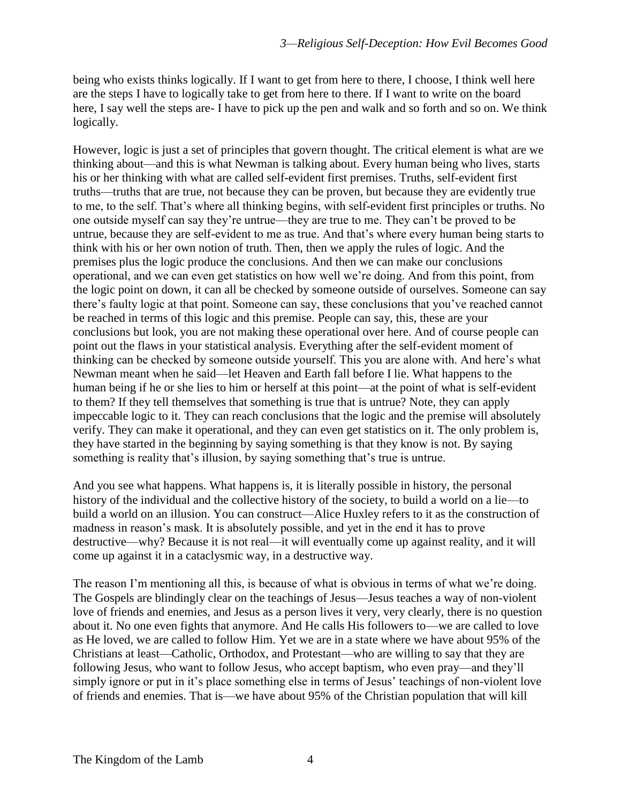being who exists thinks logically. If I want to get from here to there, I choose, I think well here are the steps I have to logically take to get from here to there. If I want to write on the board here, I say well the steps are- I have to pick up the pen and walk and so forth and so on. We think logically.

However, logic is just a set of principles that govern thought. The critical element is what are we thinking about—and this is what Newman is talking about. Every human being who lives, starts his or her thinking with what are called self-evident first premises. Truths, self-evident first truths—truths that are true, not because they can be proven, but because they are evidently true to me, to the self. That's where all thinking begins, with self-evident first principles or truths. No one outside myself can say they're untrue—they are true to me. They can't be proved to be untrue, because they are self-evident to me as true. And that's where every human being starts to think with his or her own notion of truth. Then, then we apply the rules of logic. And the premises plus the logic produce the conclusions. And then we can make our conclusions operational, and we can even get statistics on how well we're doing. And from this point, from the logic point on down, it can all be checked by someone outside of ourselves. Someone can say there's faulty logic at that point. Someone can say, these conclusions that you've reached cannot be reached in terms of this logic and this premise. People can say, this, these are your conclusions but look, you are not making these operational over here. And of course people can point out the flaws in your statistical analysis. Everything after the self-evident moment of thinking can be checked by someone outside yourself. This you are alone with. And here's what Newman meant when he said—let Heaven and Earth fall before I lie. What happens to the human being if he or she lies to him or herself at this point—at the point of what is self-evident to them? If they tell themselves that something is true that is untrue? Note, they can apply impeccable logic to it. They can reach conclusions that the logic and the premise will absolutely verify. They can make it operational, and they can even get statistics on it. The only problem is, they have started in the beginning by saying something is that they know is not. By saying something is reality that's illusion, by saying something that's true is untrue.

And you see what happens. What happens is, it is literally possible in history, the personal history of the individual and the collective history of the society, to build a world on a lie—to build a world on an illusion. You can construct—Alice Huxley refers to it as the construction of madness in reason's mask. It is absolutely possible, and yet in the end it has to prove destructive—why? Because it is not real—it will eventually come up against reality, and it will come up against it in a cataclysmic way, in a destructive way.

The reason I'm mentioning all this, is because of what is obvious in terms of what we're doing. The Gospels are blindingly clear on the teachings of Jesus—Jesus teaches a way of non-violent love of friends and enemies, and Jesus as a person lives it very, very clearly, there is no question about it. No one even fights that anymore. And He calls His followers to—we are called to love as He loved, we are called to follow Him. Yet we are in a state where we have about 95% of the Christians at least—Catholic, Orthodox, and Protestant—who are willing to say that they are following Jesus, who want to follow Jesus, who accept baptism, who even pray—and they'll simply ignore or put in it's place something else in terms of Jesus' teachings of non-violent love of friends and enemies. That is—we have about 95% of the Christian population that will kill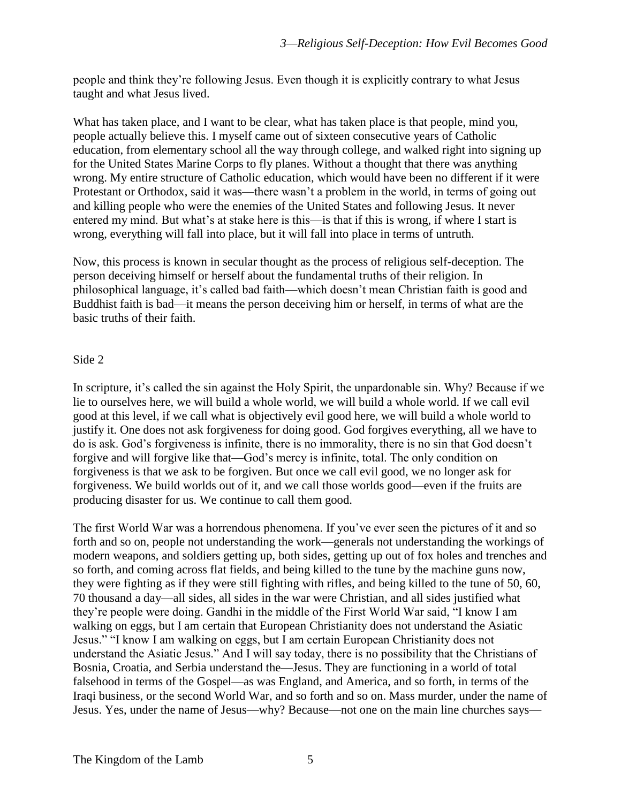people and think they're following Jesus. Even though it is explicitly contrary to what Jesus taught and what Jesus lived.

What has taken place, and I want to be clear, what has taken place is that people, mind you, people actually believe this. I myself came out of sixteen consecutive years of Catholic education, from elementary school all the way through college, and walked right into signing up for the United States Marine Corps to fly planes. Without a thought that there was anything wrong. My entire structure of Catholic education, which would have been no different if it were Protestant or Orthodox, said it was—there wasn't a problem in the world, in terms of going out and killing people who were the enemies of the United States and following Jesus. It never entered my mind. But what's at stake here is this—is that if this is wrong, if where I start is wrong, everything will fall into place, but it will fall into place in terms of untruth.

Now, this process is known in secular thought as the process of religious self-deception. The person deceiving himself or herself about the fundamental truths of their religion. In philosophical language, it's called bad faith—which doesn't mean Christian faith is good and Buddhist faith is bad—it means the person deceiving him or herself, in terms of what are the basic truths of their faith.

## Side 2

In scripture, it's called the sin against the Holy Spirit, the unpardonable sin. Why? Because if we lie to ourselves here, we will build a whole world, we will build a whole world. If we call evil good at this level, if we call what is objectively evil good here, we will build a whole world to justify it. One does not ask forgiveness for doing good. God forgives everything, all we have to do is ask. God's forgiveness is infinite, there is no immorality, there is no sin that God doesn't forgive and will forgive like that—God's mercy is infinite, total. The only condition on forgiveness is that we ask to be forgiven. But once we call evil good, we no longer ask for forgiveness. We build worlds out of it, and we call those worlds good—even if the fruits are producing disaster for us. We continue to call them good.

The first World War was a horrendous phenomena. If you've ever seen the pictures of it and so forth and so on, people not understanding the work—generals not understanding the workings of modern weapons, and soldiers getting up, both sides, getting up out of fox holes and trenches and so forth, and coming across flat fields, and being killed to the tune by the machine guns now, they were fighting as if they were still fighting with rifles, and being killed to the tune of 50, 60, 70 thousand a day—all sides, all sides in the war were Christian, and all sides justified what they're people were doing. Gandhi in the middle of the First World War said, "I know I am walking on eggs, but I am certain that European Christianity does not understand the Asiatic Jesus." "I know I am walking on eggs, but I am certain European Christianity does not understand the Asiatic Jesus." And I will say today, there is no possibility that the Christians of Bosnia, Croatia, and Serbia understand the—Jesus. They are functioning in a world of total falsehood in terms of the Gospel—as was England, and America, and so forth, in terms of the Iraqi business, or the second World War, and so forth and so on. Mass murder, under the name of Jesus. Yes, under the name of Jesus—why? Because—not one on the main line churches says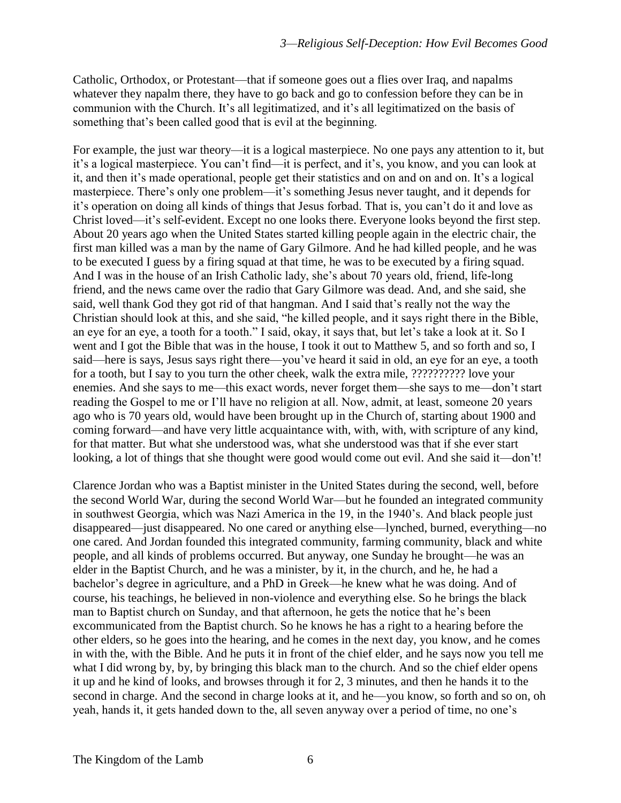Catholic, Orthodox, or Protestant—that if someone goes out a flies over Iraq, and napalms whatever they napalm there, they have to go back and go to confession before they can be in communion with the Church. It's all legitimatized, and it's all legitimatized on the basis of something that's been called good that is evil at the beginning.

For example, the just war theory—it is a logical masterpiece. No one pays any attention to it, but it's a logical masterpiece. You can't find—it is perfect, and it's, you know, and you can look at it, and then it's made operational, people get their statistics and on and on and on. It's a logical masterpiece. There's only one problem—it's something Jesus never taught, and it depends for it's operation on doing all kinds of things that Jesus forbad. That is, you can't do it and love as Christ loved—it's self-evident. Except no one looks there. Everyone looks beyond the first step. About 20 years ago when the United States started killing people again in the electric chair, the first man killed was a man by the name of Gary Gilmore. And he had killed people, and he was to be executed I guess by a firing squad at that time, he was to be executed by a firing squad. And I was in the house of an Irish Catholic lady, she's about 70 years old, friend, life-long friend, and the news came over the radio that Gary Gilmore was dead. And, and she said, she said, well thank God they got rid of that hangman. And I said that's really not the way the Christian should look at this, and she said, "he killed people, and it says right there in the Bible, an eye for an eye, a tooth for a tooth." I said, okay, it says that, but let's take a look at it. So I went and I got the Bible that was in the house, I took it out to Matthew 5, and so forth and so, I said—here is says, Jesus says right there—you've heard it said in old, an eye for an eye, a tooth for a tooth, but I say to you turn the other cheek, walk the extra mile, ?????????? love your enemies. And she says to me—this exact words, never forget them—she says to me—don't start reading the Gospel to me or I'll have no religion at all. Now, admit, at least, someone 20 years ago who is 70 years old, would have been brought up in the Church of, starting about 1900 and coming forward—and have very little acquaintance with, with, with, with scripture of any kind, for that matter. But what she understood was, what she understood was that if she ever start looking, a lot of things that she thought were good would come out evil. And she said it—don't!

Clarence Jordan who was a Baptist minister in the United States during the second, well, before the second World War, during the second World War—but he founded an integrated community in southwest Georgia, which was Nazi America in the 19, in the 1940's. And black people just disappeared—just disappeared. No one cared or anything else—lynched, burned, everything—no one cared. And Jordan founded this integrated community, farming community, black and white people, and all kinds of problems occurred. But anyway, one Sunday he brought—he was an elder in the Baptist Church, and he was a minister, by it, in the church, and he, he had a bachelor's degree in agriculture, and a PhD in Greek—he knew what he was doing. And of course, his teachings, he believed in non-violence and everything else. So he brings the black man to Baptist church on Sunday, and that afternoon, he gets the notice that he's been excommunicated from the Baptist church. So he knows he has a right to a hearing before the other elders, so he goes into the hearing, and he comes in the next day, you know, and he comes in with the, with the Bible. And he puts it in front of the chief elder, and he says now you tell me what I did wrong by, by, by bringing this black man to the church. And so the chief elder opens it up and he kind of looks, and browses through it for 2, 3 minutes, and then he hands it to the second in charge. And the second in charge looks at it, and he—you know, so forth and so on, oh yeah, hands it, it gets handed down to the, all seven anyway over a period of time, no one's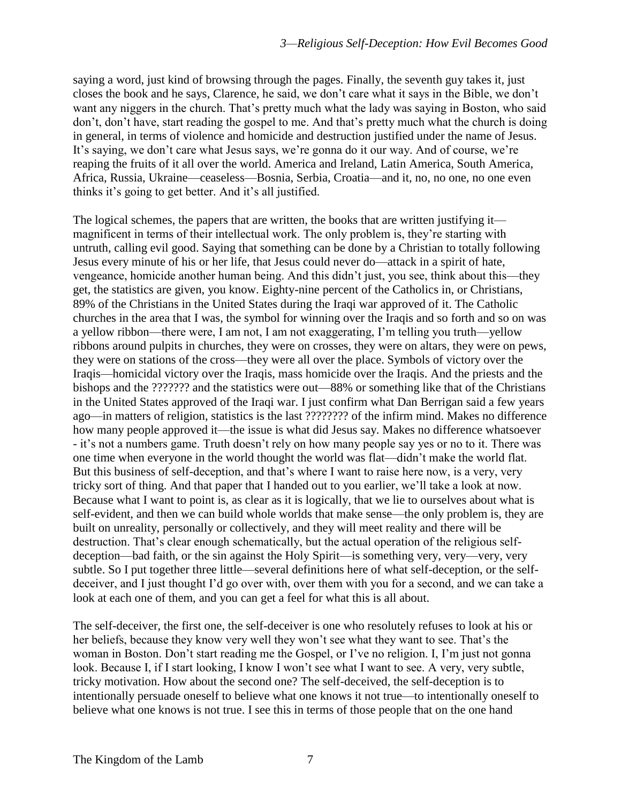saying a word, just kind of browsing through the pages. Finally, the seventh guy takes it, just closes the book and he says, Clarence, he said, we don't care what it says in the Bible, we don't want any niggers in the church. That's pretty much what the lady was saying in Boston, who said don't, don't have, start reading the gospel to me. And that's pretty much what the church is doing in general, in terms of violence and homicide and destruction justified under the name of Jesus. It's saying, we don't care what Jesus says, we're gonna do it our way. And of course, we're reaping the fruits of it all over the world. America and Ireland, Latin America, South America, Africa, Russia, Ukraine—ceaseless—Bosnia, Serbia, Croatia—and it, no, no one, no one even thinks it's going to get better. And it's all justified.

The logical schemes, the papers that are written, the books that are written justifying it magnificent in terms of their intellectual work. The only problem is, they're starting with untruth, calling evil good. Saying that something can be done by a Christian to totally following Jesus every minute of his or her life, that Jesus could never do—attack in a spirit of hate, vengeance, homicide another human being. And this didn't just, you see, think about this—they get, the statistics are given, you know. Eighty-nine percent of the Catholics in, or Christians, 89% of the Christians in the United States during the Iraqi war approved of it. The Catholic churches in the area that I was, the symbol for winning over the Iraqis and so forth and so on was a yellow ribbon—there were, I am not, I am not exaggerating, I'm telling you truth—yellow ribbons around pulpits in churches, they were on crosses, they were on altars, they were on pews, they were on stations of the cross—they were all over the place. Symbols of victory over the Iraqis—homicidal victory over the Iraqis, mass homicide over the Iraqis. And the priests and the bishops and the ??????? and the statistics were out—88% or something like that of the Christians in the United States approved of the Iraqi war. I just confirm what Dan Berrigan said a few years ago—in matters of religion, statistics is the last ???????? of the infirm mind. Makes no difference how many people approved it—the issue is what did Jesus say. Makes no difference whatsoever - it's not a numbers game. Truth doesn't rely on how many people say yes or no to it. There was one time when everyone in the world thought the world was flat—didn't make the world flat. But this business of self-deception, and that's where I want to raise here now, is a very, very tricky sort of thing. And that paper that I handed out to you earlier, we'll take a look at now. Because what I want to point is, as clear as it is logically, that we lie to ourselves about what is self-evident, and then we can build whole worlds that make sense—the only problem is, they are built on unreality, personally or collectively, and they will meet reality and there will be destruction. That's clear enough schematically, but the actual operation of the religious selfdeception—bad faith, or the sin against the Holy Spirit—is something very, very—very, very subtle. So I put together three little—several definitions here of what self-deception, or the selfdeceiver, and I just thought I'd go over with, over them with you for a second, and we can take a look at each one of them, and you can get a feel for what this is all about.

The self-deceiver, the first one, the self-deceiver is one who resolutely refuses to look at his or her beliefs, because they know very well they won't see what they want to see. That's the woman in Boston. Don't start reading me the Gospel, or I've no religion. I, I'm just not gonna look. Because I, if I start looking, I know I won't see what I want to see. A very, very subtle, tricky motivation. How about the second one? The self-deceived, the self-deception is to intentionally persuade oneself to believe what one knows it not true—to intentionally oneself to believe what one knows is not true. I see this in terms of those people that on the one hand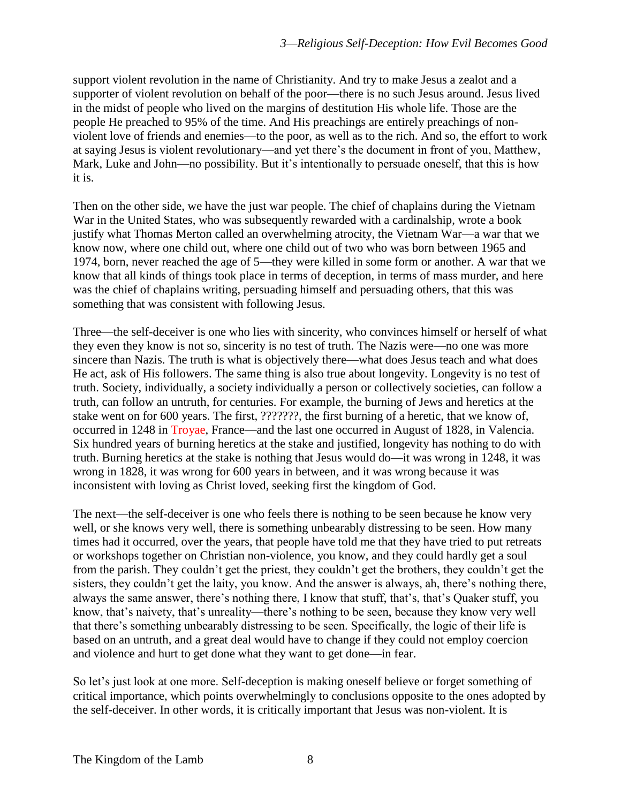support violent revolution in the name of Christianity. And try to make Jesus a zealot and a supporter of violent revolution on behalf of the poor—there is no such Jesus around. Jesus lived in the midst of people who lived on the margins of destitution His whole life. Those are the people He preached to 95% of the time. And His preachings are entirely preachings of nonviolent love of friends and enemies—to the poor, as well as to the rich. And so, the effort to work at saying Jesus is violent revolutionary—and yet there's the document in front of you, Matthew, Mark, Luke and John—no possibility. But it's intentionally to persuade oneself, that this is how it is.

Then on the other side, we have the just war people. The chief of chaplains during the Vietnam War in the United States, who was subsequently rewarded with a cardinalship, wrote a book justify what Thomas Merton called an overwhelming atrocity, the Vietnam War—a war that we know now, where one child out, where one child out of two who was born between 1965 and 1974, born, never reached the age of 5—they were killed in some form or another. A war that we know that all kinds of things took place in terms of deception, in terms of mass murder, and here was the chief of chaplains writing, persuading himself and persuading others, that this was something that was consistent with following Jesus.

Three—the self-deceiver is one who lies with sincerity, who convinces himself or herself of what they even they know is not so, sincerity is no test of truth. The Nazis were—no one was more sincere than Nazis. The truth is what is objectively there—what does Jesus teach and what does He act, ask of His followers. The same thing is also true about longevity. Longevity is no test of truth. Society, individually, a society individually a person or collectively societies, can follow a truth, can follow an untruth, for centuries. For example, the burning of Jews and heretics at the stake went on for 600 years. The first, ???????, the first burning of a heretic, that we know of, occurred in 1248 in Troyae, France—and the last one occurred in August of 1828, in Valencia. Six hundred years of burning heretics at the stake and justified, longevity has nothing to do with truth. Burning heretics at the stake is nothing that Jesus would do—it was wrong in 1248, it was wrong in 1828, it was wrong for 600 years in between, and it was wrong because it was inconsistent with loving as Christ loved, seeking first the kingdom of God.

The next—the self-deceiver is one who feels there is nothing to be seen because he know very well, or she knows very well, there is something unbearably distressing to be seen. How many times had it occurred, over the years, that people have told me that they have tried to put retreats or workshops together on Christian non-violence, you know, and they could hardly get a soul from the parish. They couldn't get the priest, they couldn't get the brothers, they couldn't get the sisters, they couldn't get the laity, you know. And the answer is always, ah, there's nothing there, always the same answer, there's nothing there, I know that stuff, that's, that's Quaker stuff, you know, that's naivety, that's unreality—there's nothing to be seen, because they know very well that there's something unbearably distressing to be seen. Specifically, the logic of their life is based on an untruth, and a great deal would have to change if they could not employ coercion and violence and hurt to get done what they want to get done—in fear.

So let's just look at one more. Self-deception is making oneself believe or forget something of critical importance, which points overwhelmingly to conclusions opposite to the ones adopted by the self-deceiver. In other words, it is critically important that Jesus was non-violent. It is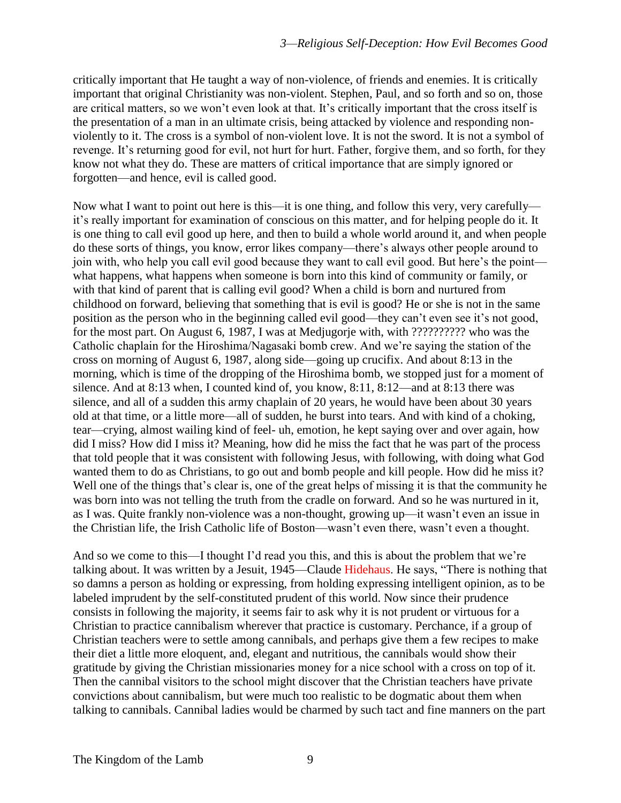critically important that He taught a way of non-violence, of friends and enemies. It is critically important that original Christianity was non-violent. Stephen, Paul, and so forth and so on, those are critical matters, so we won't even look at that. It's critically important that the cross itself is the presentation of a man in an ultimate crisis, being attacked by violence and responding nonviolently to it. The cross is a symbol of non-violent love. It is not the sword. It is not a symbol of revenge. It's returning good for evil, not hurt for hurt. Father, forgive them, and so forth, for they know not what they do. These are matters of critical importance that are simply ignored or forgotten—and hence, evil is called good.

Now what I want to point out here is this—it is one thing, and follow this very, very carefully it's really important for examination of conscious on this matter, and for helping people do it. It is one thing to call evil good up here, and then to build a whole world around it, and when people do these sorts of things, you know, error likes company—there's always other people around to join with, who help you call evil good because they want to call evil good. But here's the point what happens, what happens when someone is born into this kind of community or family, or with that kind of parent that is calling evil good? When a child is born and nurtured from childhood on forward, believing that something that is evil is good? He or she is not in the same position as the person who in the beginning called evil good—they can't even see it's not good, for the most part. On August 6, 1987, I was at Medjugorje with, with ?????????? who was the Catholic chaplain for the Hiroshima/Nagasaki bomb crew. And we're saying the station of the cross on morning of August 6, 1987, along side—going up crucifix. And about 8:13 in the morning, which is time of the dropping of the Hiroshima bomb, we stopped just for a moment of silence. And at 8:13 when, I counted kind of, you know, 8:11, 8:12—and at 8:13 there was silence, and all of a sudden this army chaplain of 20 years, he would have been about 30 years old at that time, or a little more—all of sudden, he burst into tears. And with kind of a choking, tear—crying, almost wailing kind of feel- uh, emotion, he kept saying over and over again, how did I miss? How did I miss it? Meaning, how did he miss the fact that he was part of the process that told people that it was consistent with following Jesus, with following, with doing what God wanted them to do as Christians, to go out and bomb people and kill people. How did he miss it? Well one of the things that's clear is, one of the great helps of missing it is that the community he was born into was not telling the truth from the cradle on forward. And so he was nurtured in it, as I was. Quite frankly non-violence was a non-thought, growing up—it wasn't even an issue in the Christian life, the Irish Catholic life of Boston—wasn't even there, wasn't even a thought.

And so we come to this—I thought I'd read you this, and this is about the problem that we're talking about. It was written by a Jesuit, 1945—Claude Hidehaus. He says, "There is nothing that so damns a person as holding or expressing, from holding expressing intelligent opinion, as to be labeled imprudent by the self-constituted prudent of this world. Now since their prudence consists in following the majority, it seems fair to ask why it is not prudent or virtuous for a Christian to practice cannibalism wherever that practice is customary. Perchance, if a group of Christian teachers were to settle among cannibals, and perhaps give them a few recipes to make their diet a little more eloquent, and, elegant and nutritious, the cannibals would show their gratitude by giving the Christian missionaries money for a nice school with a cross on top of it. Then the cannibal visitors to the school might discover that the Christian teachers have private convictions about cannibalism, but were much too realistic to be dogmatic about them when talking to cannibals. Cannibal ladies would be charmed by such tact and fine manners on the part